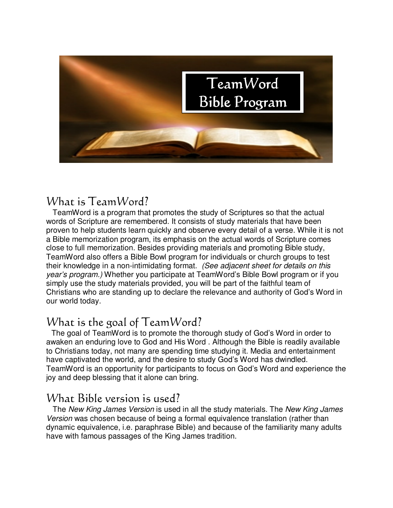

#### What is TeamWord?

 TeamWord is a program that promotes the study of Scriptures so that the actual words of Scripture are remembered. It consists of study materials that have been proven to help students learn quickly and observe every detail of a verse. While it is not a Bible memorization program, its emphasis on the actual words of Scripture comes close to full memorization. Besides providing materials and promoting Bible study, TeamWord also offers a Bible Bowl program for individuals or church groups to test their knowledge in a non-intimidating format. (See adjacent sheet for details on this year's program.) Whether you participate at TeamWord's Bible Bowl program or if you simply use the study materials provided, you will be part of the faithful team of Christians who are standing up to declare the relevance and authority of God's Word in our world today.

# What is the goal of TeamWord?

The goal of TeamWord is to promote the thorough study of God's Word in order to awaken an enduring love to God and His Word . Although the Bible is readily available to Christians today, not many are spending time studying it. Media and entertainment have captivated the world, and the desire to study God's Word has dwindled. TeamWord is an opportunity for participants to focus on God's Word and experience the joy and deep blessing that it alone can bring.

### What Bible version is used?

The New King James Version is used in all the study materials. The New King James Version was chosen because of being a formal equivalence translation (rather than dynamic equivalence, i.e. paraphrase Bible) and because of the familiarity many adults have with famous passages of the King James tradition.